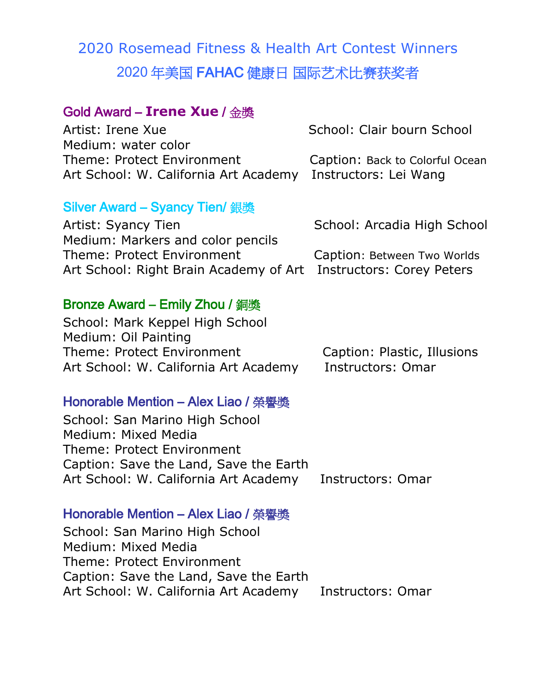# 2020 Rosemead Fitness & Health Art Contest Winners 2020 **年美国 FAHAC 健康日 国际艺术比赛获奖者**

## **Gold Award – Irene Xue / 金獎**

Artist: Irene Xue School: Clair bourn School Medium: water color Theme: Protect Environment Caption: Back to Colorful Ocean Art School: W. California Art Academy Instructors: Lei Wang

#### **Silver Award – Syancy Tien/ 銀獎**

Artist: Syancy Tien School: Arcadia High School: Arcadia High School Medium: Markers and color pencils Theme: Protect Environment Caption: Between Two Worlds Art School: Right Brain Academy of Art Instructors: Corey Peters

#### **Bronze Award – Emily Zhou / 銅獎**

School: Mark Keppel High School Medium: Oil Painting Theme: Protect Environment Caption: Plastic, Illusions Art School: W. California Art Academy Instructors: Omar

#### **Honorable Mention – Alex Liao / 榮譽獎**

School: San Marino High School Medium: Mixed Media Theme: Protect Environment Caption: Save the Land, Save the Earth Art School: W. California Art Academy Instructors: Omar

#### **Honorable Mention – Alex Liao / 榮譽獎**

School: San Marino High School Medium: Mixed Media Theme: Protect Environment Caption: Save the Land, Save the Earth Art School: W. California Art Academy Instructors: Omar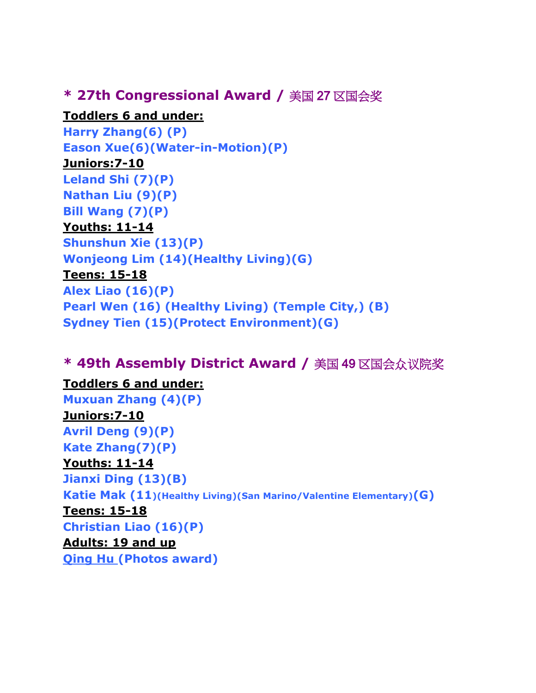## **\* 27th Congressional Award / 美国 27 区国会奖**

#### **Toddlers 6 and under:**

```
Harry Zhang(6) (P)
Eason Xue(6)(Water-in-Motion)(P)
Juniors:7-10 
Leland Shi (7)(P)
Nathan Liu (9)(P)
Bill Wang (7)(P)
Youths: 11-14 
Shunshun Xie (13)(P)
Wonjeong Lim (14)(Healthy Living)(G)
Teens: 15-18 
Alex Liao (16)(P)
Pearl Wen (16) (Healthy Living) (Temple City,) (B)
Sydney Tien (15)(Protect Environment)(G)
```
# **\* 49th Assembly District Award / 美国 49 区国会众议院奖**

# **Toddlers 6 and under:**

**Muxuan Zhang (4)(P) Juniors:7-10 Avril Deng (9)(P) Kate Zhang(7)(P) Youths: 11-14 Jianxi Ding (13)(B) Katie Mak (11)(Healthy Living)(San Marino/Valentine Elementary)(G) Teens: 15-18 Christian Liao (16)(P) Adults: 19 and up Qing Hu (Photos award)**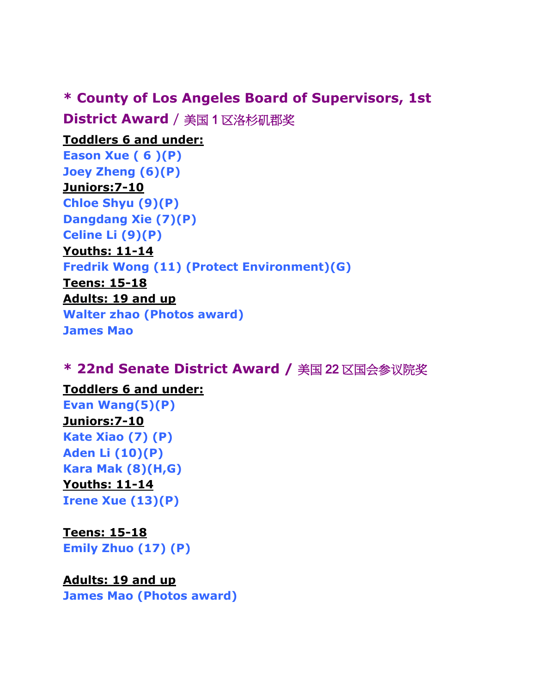# **\* County of Los Angeles Board of Supervisors, 1st**

**District Award** / **美国 1 区洛杉矶郡奖**

**Toddlers 6 and under: Eason Xue ( 6 )(P) Joey Zheng (6)(P) Juniors:7-10 Chloe Shyu (9)(P) Dangdang Xie (7)(P) Celine Li (9)(P) Youths: 11-14 Fredrik Wong (11) (Protect Environment)(G) Teens: 15-18 Adults: 19 and up Walter zhao (Photos award) James Mao** 

# **\* 22nd Senate District Award / 美国 22 区国会参议院奖**

**Toddlers 6 and under:** 

**Evan Wang(5)(P) Juniors:7-10 Kate Xiao (7) (P) Aden Li (10)(P) Kara Mak (8)(H,G) Youths: 11-14 Irene Xue (13)(P)**

**Teens: 15-18 Emily Zhuo (17) (P)**

#### **Adults: 19 and up**

**James Mao (Photos award)**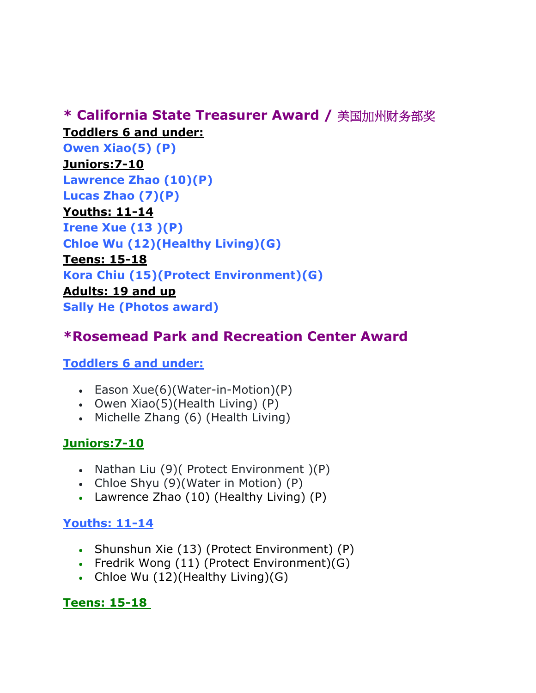# **\* California State Treasurer Award / 美国加州财务部奖 Toddlers 6 and under:**

**Owen Xiao(5) (P) Juniors:7-10 Lawrence Zhao (10)(P) Lucas Zhao (7)(P) Youths: 11-14 Irene Xue (13 )(P) Chloe Wu (12)(Healthy Living)(G) Teens: 15-18 Kora Chiu (15)(Protect Environment)(G) Adults: 19 and up Sally He (Photos award)**

# **\*Rosemead Park and Recreation Center Award**

# **Toddlers 6 and under:**

- Eason Xue(6)(Water-in-Motion)(P)
- Owen  $Xiao(5)$ (Health Living)  $(P)$
- Michelle Zhang (6) (Health Living)

# **Juniors:7-10**

- Nathan Liu  $(9)$  (Protect Environment  $(P)$
- Chloe Shyu (9) (Water in Motion) (P)
- Lawrence Zhao (10) (Healthy Living) (P)

# **Youths: 11-14**

- Shunshun Xie (13) (Protect Environment) (P)
- Fredrik Wong (11) (Protect Environment) (G)
- Chloe Wu (12)(Healthy Living)(G)

# **Teens: 15-18**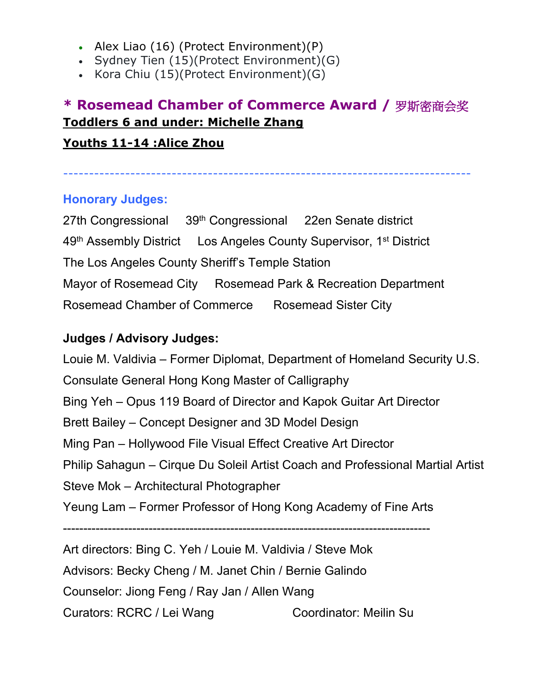- Alex Liao (16) (Protect Environment)(P)
- Sydney Tien (15)(Protect Environment)(G)
- Kora Chiu  $(15)$ (Protect Environment) $(G)$

# **\* Rosemead Chamber of Commerce Award / 罗斯密商会奖 Toddlers 6 and under: Michelle Zhang Youths 11-14 :Alice Zhou**

# -------------------------------------------------------------------------------

#### **Honorary Judges:**

27th Congressional 39<sup>th</sup> Congressional 22en Senate district 49th Assembly District Los Angeles County Supervisor, 1st District The Los Angeles County Sheriff's Temple Station Mayor of Rosemead City Rosemead Park & Recreation Department Rosemead Chamber of Commerce Rosemead Sister City

#### **Judges / Advisory Judges:**

Louie M. Valdivia – Former Diplomat, Department of Homeland Security U.S. Consulate General Hong Kong Master of Calligraphy Bing Yeh – Opus 119 Board of Director and Kapok Guitar Art Director Brett Bailey – Concept Designer and 3D Model Design Ming Pan – Hollywood File Visual Effect Creative Art Director Philip Sahagun – Cirque Du Soleil Artist Coach and Professional Martial Artist Steve Mok – Architectural Photographer Yeung Lam – Former Professor of Hong Kong Academy of Fine Arts ------------------------------------------------------------------------------------------

Art directors: Bing C. Yeh / Louie M. Valdivia / Steve Mok Advisors: Becky Cheng / M. Janet Chin / Bernie Galindo Counselor: Jiong Feng / Ray Jan / Allen Wang Curators: RCRC / Lei Wang Coordinator: Meilin Su